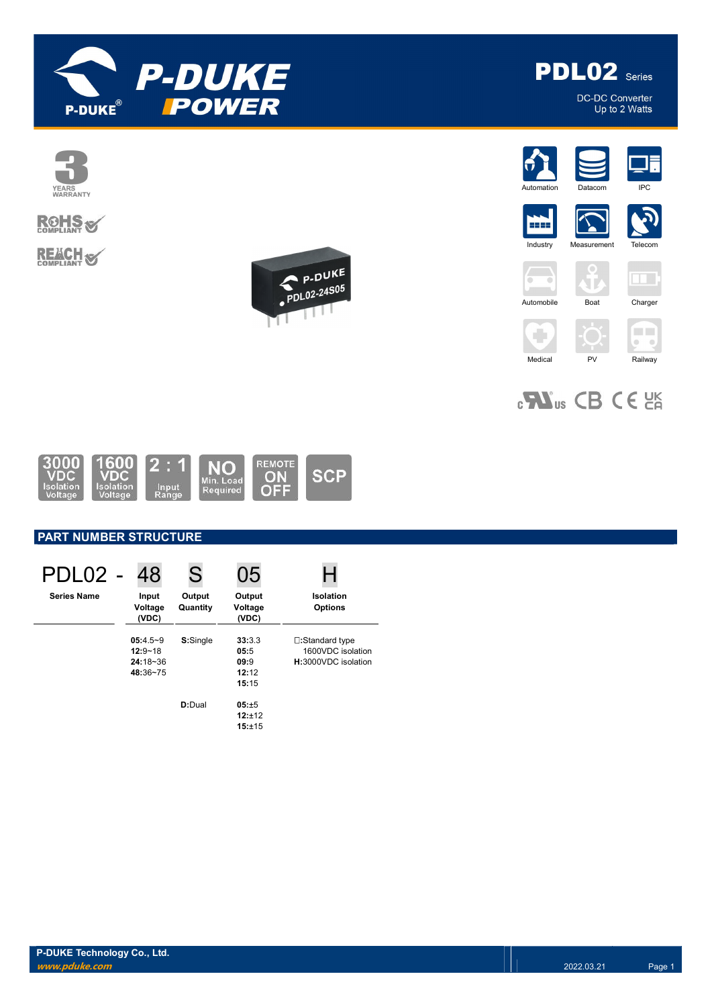



# **ROHS**

**REACH S** 









**PDL02** Series

DC-DC Converter

Up to 2 Watts









# $_{c}$ Nus CB CE  $_{c}$



## PART NUMBER STRUCTURE

| PDL02 -            | 48                                                    | S                  | 05                                       |                                                             |
|--------------------|-------------------------------------------------------|--------------------|------------------------------------------|-------------------------------------------------------------|
| <b>Series Name</b> | Input<br>Voltage<br>(VDC)                             | Output<br>Quantity | Output<br>Voltage<br>(VDC)               | <b>Isolation</b><br><b>Options</b>                          |
|                    | $05:4.5-9$<br>$12:9 - 18$<br>$24:18 - 36$<br>48:36~75 | S:Single           | 33:3.3<br>05:5<br>09:9<br>12:12<br>15:15 | □:Standard type<br>1600VDC isolation<br>H:3000VDC isolation |
|                    |                                                       | D:Dual             | 05:±5<br>12:±12<br>15:±15                |                                                             |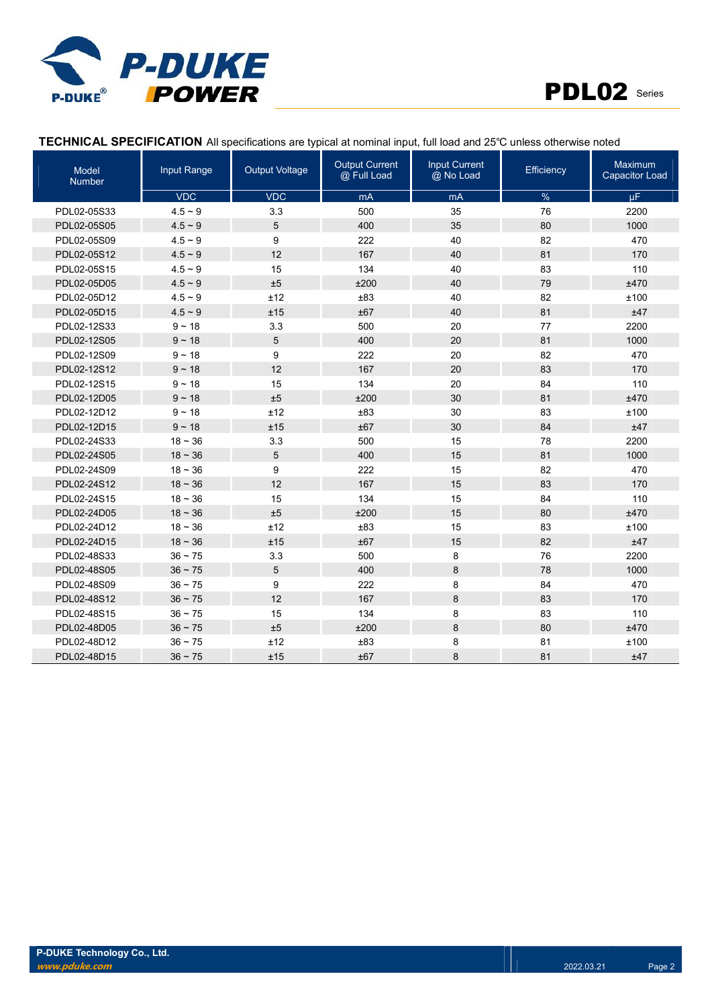



#### TECHNICAL SPECIFICATION All specifications are typical at nominal input, full load and 25℃ unless otherwise noted

| <b>Model</b><br>Number | Input Range  | <b>Output Voltage</b> | <b>Output Current</b><br>@ Full Load | <b>Input Current</b><br>@ No Load | Efficiency | Maximum<br><b>Capacitor Load</b> |
|------------------------|--------------|-----------------------|--------------------------------------|-----------------------------------|------------|----------------------------------|
|                        | <b>VDC</b>   | <b>VDC</b>            | mA                                   | mA                                | %          | μF                               |
| PDL02-05S33            | $4.5 - 9$    | 3.3                   | 500                                  | 35                                | 76         | 2200                             |
| PDL02-05S05            | $4.5 - 9$    | 5                     | 400                                  | 35                                | 80         | 1000                             |
| PDL02-05S09            | $4.5 - 9$    | 9                     | 222                                  | 40                                | 82         | 470                              |
| PDL02-05S12            | $4.5 - 9$    | 12                    | 167                                  | 40                                | 81         | 170                              |
| PDL02-05S15            | $4.5 - 9$    | 15                    | 134                                  | 40                                | 83         | 110                              |
| PDL02-05D05            | $4.5 - 9$    | ±5                    | ±200                                 | 40                                | 79         | ±470                             |
| PDL02-05D12            | $4.5 - 9$    | ±12                   | ±83                                  | 40                                | 82         | ±100                             |
| PDL02-05D15            | $4.5 - 9$    | ±15                   | ±67                                  | 40                                | 81         | ±47                              |
| PDL02-12S33            | $9 - 18$     | 3.3                   | 500                                  | 20                                | 77         | 2200                             |
| PDL02-12S05            | $9 - 18$     | 5                     | 400                                  | 20                                | 81         | 1000                             |
| PDL02-12S09            | $9 - 18$     | 9                     | 222                                  | 20                                | 82         | 470                              |
| PDL02-12S12            | $9 - 18$     | 12                    | 167                                  | 20                                | 83         | 170                              |
| PDL02-12S15            | $9 - 18$     | 15                    | 134                                  | 20                                | 84         | 110                              |
| PDL02-12D05            | $9 - 18$     | ±5                    | ±200                                 | 30                                | 81         | ±470                             |
| PDL02-12D12            | $9 - 18$     | ±12                   | ±83                                  | 30                                | 83         | ±100                             |
| PDL02-12D15            | $9 - 18$     | ±15                   | ±67                                  | 30                                | 84         | ±47                              |
| PDL02-24S33            | $18 - 36$    | 3.3                   | 500                                  | 15                                | 78         | 2200                             |
| PDL02-24S05            | $18 - 36$    | 5                     | 400                                  | 15                                | 81         | 1000                             |
| PDL02-24S09            | $18 - 36$    | 9                     | 222                                  | 15                                | 82         | 470                              |
| PDL02-24S12            | $18 - 36$    | 12                    | 167                                  | 15                                | 83         | 170                              |
| PDL02-24S15            | $18 - 36$    | 15                    | 134                                  | 15                                | 84         | 110                              |
| PDL02-24D05            | $18 - 36$    | ±5                    | ±200                                 | 15                                | 80         | ±470                             |
| PDL02-24D12            | $18 - 36$    | ±12                   | ±83                                  | 15                                | 83         | ±100                             |
| PDL02-24D15            | $18 - 36$    | ±15                   | ±67                                  | 15                                | 82         | ±47                              |
| PDL02-48S33            | $36 - 75$    | 3.3                   | 500                                  | 8                                 | 76         | 2200                             |
| PDL02-48S05            | $36 \sim 75$ | 5                     | 400                                  | 8                                 | 78         | 1000                             |
| PDL02-48S09            | $36 \sim 75$ | 9                     | 222                                  | 8                                 | 84         | 470                              |
| PDL02-48S12            | $36 \sim 75$ | 12                    | 167                                  | 8                                 | 83         | 170                              |
| PDL02-48S15            | $36 \sim 75$ | 15                    | 134                                  | 8                                 | 83         | 110                              |
| PDL02-48D05            | $36 \sim 75$ | ±5                    | ±200                                 | 8                                 | 80         | ±470                             |
| PDL02-48D12            | $36 - 75$    | ±12                   | ±83                                  | 8                                 | 81         | ±100                             |
| PDL02-48D15            | $36 \sim 75$ | ±15                   | ±67                                  | 8                                 | 81         | ±47                              |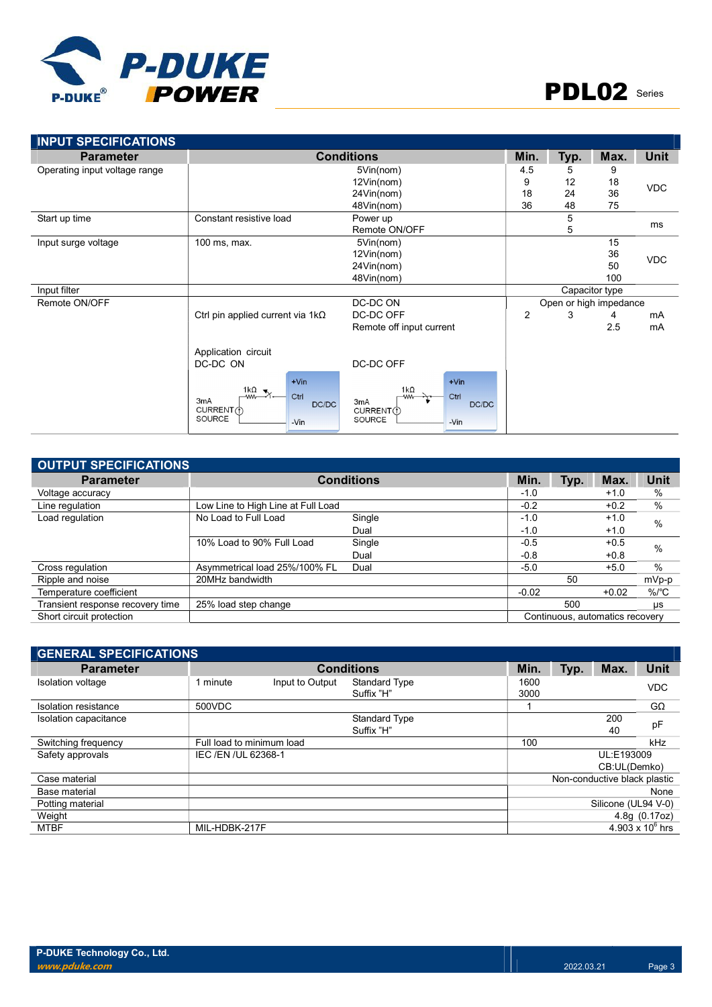

| <b>INPUT SPECIFICATIONS</b>   |                                          |                            |                |      |                        |            |
|-------------------------------|------------------------------------------|----------------------------|----------------|------|------------------------|------------|
| <b>Parameter</b>              | <b>Conditions</b>                        | Min.                       | Typ.           | Max. | <b>Unit</b>            |            |
| Operating input voltage range |                                          | 5Vin(nom)                  | 4.5            | 5    | 9                      |            |
|                               |                                          | 12Vin(nom)                 | 9              | 12   | 18                     |            |
|                               |                                          | 24Vin(nom)                 | 18             | 24   | 36                     | <b>VDC</b> |
|                               |                                          | 48Vin(nom)                 | 36             | 48   | 75                     |            |
| Start up time                 | Constant resistive load                  | Power up                   |                | 5    |                        | ms         |
|                               |                                          | Remote ON/OFF              |                | 5    |                        |            |
| Input surge voltage           | 100 ms, max.                             | 5Vin(nom)                  |                |      | 15                     |            |
|                               |                                          | 12Vin(nom)                 |                |      | 36                     | <b>VDC</b> |
|                               |                                          | 24Vin(nom)                 |                |      | 50                     |            |
|                               |                                          | 48Vin(nom)                 |                |      | 100                    |            |
| Input filter                  |                                          |                            |                |      | Capacitor type         |            |
| Remote ON/OFF                 |                                          | DC-DC ON                   |                |      | Open or high impedance |            |
|                               | Ctrl pin applied current via $1k\Omega$  | DC-DC OFF                  | $\overline{2}$ | 3    | 4                      | mA         |
|                               |                                          | Remote off input current   |                |      | 2.5                    | mA         |
|                               |                                          |                            |                |      |                        |            |
|                               | Application circuit                      |                            |                |      |                        |            |
|                               | DC-DC ON                                 | DC-DC OFF                  |                |      |                        |            |
|                               | $+V$ in                                  | $+V$ in                    |                |      |                        |            |
|                               | $\frac{1k\Omega}{2}$<br>Ctrl             | 1 $k\Omega$<br>Ctrl        |                |      |                        |            |
|                               | 3 <sub>m</sub> A<br>DC/DC<br>CURRENT (1) | 3mA<br>DC/DC<br>CURRENT(f) |                |      |                        |            |
|                               | SOURCE<br>-Vin                           | <b>SOURCE</b><br>-Vin      |                |      |                        |            |
|                               |                                          |                            |                |      |                        |            |

| <b>OUTPUT SPECIFICATIONS</b>     |                                    |                   |         |                                 |         |                    |
|----------------------------------|------------------------------------|-------------------|---------|---------------------------------|---------|--------------------|
| <b>Parameter</b>                 |                                    | <b>Conditions</b> | Min.    | Typ.                            | Max.    | <b>Unit</b>        |
| Voltage accuracy                 |                                    |                   | $-1.0$  |                                 | $+1.0$  | %                  |
| Line regulation                  | Low Line to High Line at Full Load |                   | $-0.2$  |                                 | $+0.2$  | %                  |
| Load regulation                  | No Load to Full Load               | Single            | $-1.0$  |                                 | $+1.0$  | $\%$               |
|                                  |                                    | Dual              | $-1.0$  |                                 | $+1.0$  |                    |
|                                  | 10% Load to 90% Full Load          | Single            | $-0.5$  |                                 | $+0.5$  | %                  |
|                                  |                                    | Dual              | $-0.8$  |                                 | $+0.8$  |                    |
| Cross regulation                 | Asymmetrical load 25%/100% FL      | Dual              | $-5.0$  |                                 | $+5.0$  | $\%$               |
| Ripple and noise                 | 20MHz bandwidth                    |                   |         | 50                              |         | mVp-p              |
| Temperature coefficient          |                                    |                   | $-0.02$ |                                 | $+0.02$ | $%$ / $^{\circ}$ C |
| Transient response recovery time | 25% load step change               |                   |         | 500                             |         | $\mu s$            |
| Short circuit protection         |                                    |                   |         | Continuous, automatics recovery |         |                    |

| <b>GENERAL SPECIFICATIONS</b> |                           |                 |                      |      |      |                              |                         |
|-------------------------------|---------------------------|-----------------|----------------------|------|------|------------------------------|-------------------------|
| <b>Parameter</b>              |                           |                 | <b>Conditions</b>    | Min. | Typ. | Max.                         | <b>Unit</b>             |
| Isolation voltage             | 1 minute                  | Input to Output | <b>Standard Type</b> | 1600 |      |                              | <b>VDC</b>              |
|                               |                           |                 | Suffix "H"           | 3000 |      |                              |                         |
| Isolation resistance          | 500VDC                    |                 |                      |      |      |                              | $G\Omega$               |
| Isolation capacitance         |                           |                 | <b>Standard Type</b> |      |      | 200                          |                         |
|                               |                           |                 | Suffix "H"           |      |      | 40                           | pF                      |
| Switching frequency           | Full load to minimum load |                 |                      | 100  |      |                              | kHz                     |
| Safety approvals              | IEC /EN /UL 62368-1       |                 |                      |      |      | UL:E193009                   |                         |
|                               |                           |                 |                      |      |      | CB:UL(Demko)                 |                         |
| Case material                 |                           |                 |                      |      |      | Non-conductive black plastic |                         |
| Base material                 |                           |                 |                      |      |      |                              | None                    |
| Potting material              |                           |                 |                      |      |      | Silicone (UL94 V-0)          |                         |
| Weight                        |                           |                 |                      |      |      |                              | 4.8g (0.17oz)           |
| MTBF                          | MIL-HDBK-217F             |                 |                      |      |      |                              | $4.903 \times 10^6$ hrs |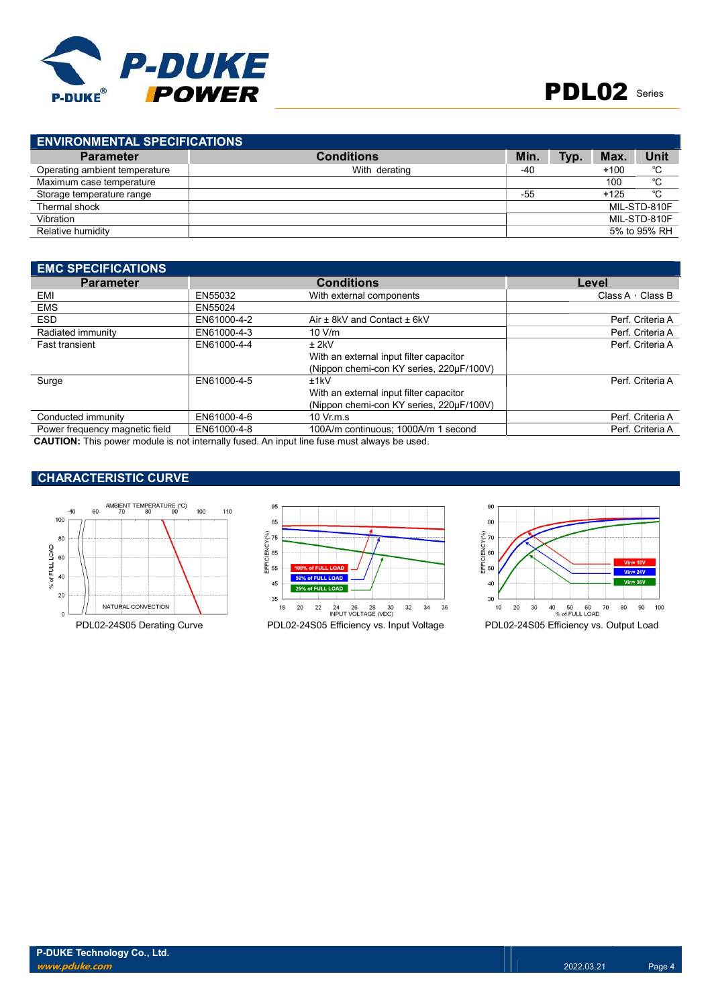

| <b>Conditions</b> |                                     | Typ. | Max.   | Unit         |
|-------------------|-------------------------------------|------|--------|--------------|
| With derating     | -40                                 |      | $+100$ | °C           |
|                   |                                     |      | 100    | °C           |
|                   | $-55$                               |      | $+125$ | °C           |
|                   |                                     |      |        | MIL-STD-810F |
|                   |                                     |      |        | MIL-STD-810F |
|                   |                                     |      |        | 5% to 95% RH |
|                   | <b>ENVIRONMENTAL SPECIFICATIONS</b> | Min  |        |              |

| <b>EMC SPECIFICATIONS</b>                                                                   |             |                                          |                         |
|---------------------------------------------------------------------------------------------|-------------|------------------------------------------|-------------------------|
| <b>Parameter</b>                                                                            |             | <b>Conditions</b>                        | Level                   |
| EMI                                                                                         | EN55032     | With external components                 | Class A $\cdot$ Class B |
| <b>EMS</b>                                                                                  | EN55024     |                                          |                         |
| <b>ESD</b>                                                                                  | EN61000-4-2 | Air $\pm$ 8kV and Contact $\pm$ 6kV      | Perf. Criteria A        |
| Radiated immunity                                                                           | EN61000-4-3 | 10 V/m                                   | Perf. Criteria A        |
| <b>Fast transient</b>                                                                       | EN61000-4-4 | $±$ 2kV                                  | Perf. Criteria A        |
|                                                                                             |             | With an external input filter capacitor  |                         |
|                                                                                             |             | (Nippon chemi-con KY series, 220µF/100V) |                         |
| Surge                                                                                       | EN61000-4-5 | ±1kV                                     | Perf. Criteria A        |
|                                                                                             |             | With an external input filter capacitor  |                         |
|                                                                                             |             | (Nippon chemi-con KY series, 220uF/100V) |                         |
| Conducted immunity                                                                          | EN61000-4-6 | $10 \,$ Vr.m.s                           | Perf. Criteria A        |
| Power frequency magnetic field                                                              | EN61000-4-8 | 100A/m continuous: 1000A/m 1 second      | Perf. Criteria A        |
| CALITION: This power module is not internally fused. An input line fuse must always be used |             |                                          |                         |

 $\sf{UTION}\colon$  This power module is not internally fused. An input line fuse must alway

### CHARACTERISTIC CURVE





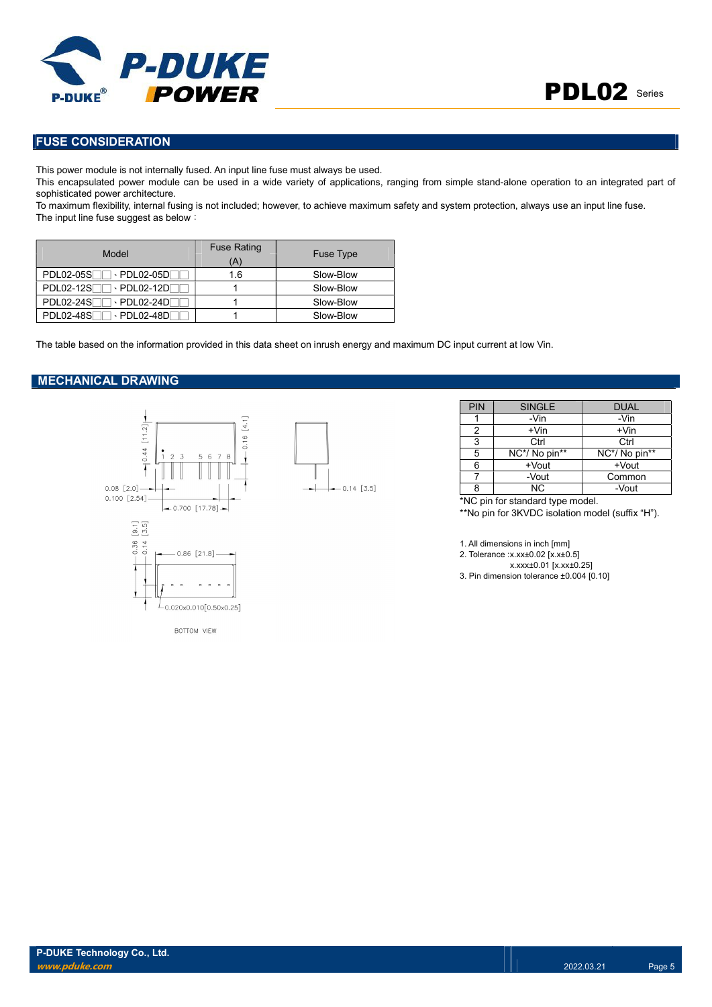

#### FUSE CONSIDERATION

This power module is not internally fused. An input line fuse must always be used.

This encapsulated power module can be used in a wide variety of applications, ranging from simple stand-alone operation to an integrated part of sophisticated power architecture.

To maximum flexibility, internal fusing is not included; however, to achieve maximum safety and system protection, always use an input line fuse. The input line fuse suggest as below:

| Model                                                          | <b>Fuse Rating</b><br>A) | <b>Fuse Type</b> |
|----------------------------------------------------------------|--------------------------|------------------|
| <b>PDL02-05S</b><br>$\cdot$ PDL02-05D $\Box$                   | 1.6                      | Slow-Blow        |
| <b>PDL02-12S</b><br>$\cdot$ PDL02-12D $\Box$                   |                          | Slow-Blow        |
| PDL02-24S<br>$\cdot$ PDL02-24D $\Box$                          |                          | Slow-Blow        |
| <b>PDL02-48S</b><br>$\cdot$ PDL02-48D $\overline{\phantom{a}}$ |                          | Slow-Blow        |

The table based on the information provided in this data sheet on inrush energy and maximum DC input current at low Vin.

#### MECHANICAL DRAWING



| PIN | <b>SINGLE</b> | <b>DUAL</b>   |
|-----|---------------|---------------|
|     | -Vin          | -Vin          |
| 2   | $+V$ in       | $+V$ in       |
| 3   | Ctrl          | Ctrl          |
| 5   | NC*/ No pin** | NC*/ No pin** |
| 6   | +Vout         | $+$ Vout      |
|     | -Vout         | Common        |
| R   | NC.           | -Vout         |

\*NC pin for standard type model. \*\*No pin for 3KVDC isolation model (suffix "H").

1. All dimensions in inch [mm]

2. Tolerance :x.xx±0.02 [x.x±0.5]

x.xxx±0.01 [x.xx±0.25]

3. Pin dimension tolerance ±0.004 [0.10]